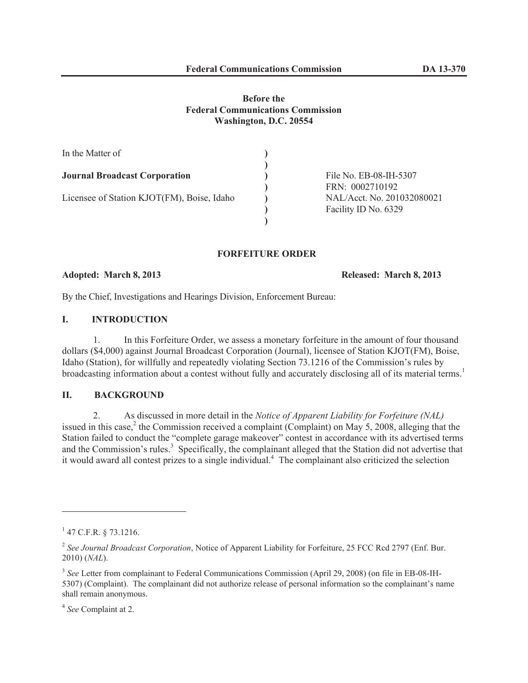## **Before the Federal Communications Commission Washington, D.C. 20554**

| In the Matter of                           |                            |
|--------------------------------------------|----------------------------|
|                                            |                            |
| <b>Journal Broadcast Corporation</b>       | File No. EB-08-IH-5307     |
|                                            | FRN: 0002710192            |
| Licensee of Station KJOT(FM), Boise, Idaho | NAL/Acct. No. 201032080021 |
|                                            | Facility ID No. 6329       |
|                                            |                            |

# **FORFEITURE ORDER**

## **Adopted: March 8, 2013 Released: March 8, 2013**

By the Chief, Investigations and Hearings Division, Enforcement Bureau:

## **I. INTRODUCTION**

1. In this Forfeiture Order, we assess a monetary forfeiture in the amount of four thousand dollars (\$4,000) against Journal Broadcast Corporation (Journal), licensee of Station KJOT(FM), Boise, Idaho (Station), for willfully and repeatedly violating Section 73.1216 of the Commission's rules by broadcasting information about a contest without fully and accurately disclosing all of its material terms.<sup>1</sup>

## **II. BACKGROUND**

2. As discussed in more detail in the *Notice of Apparent Liability for Forfeiture (NAL)* issued in this case,<sup>2</sup> the Commission received a complaint (Complaint) on May 5, 2008, alleging that the Station failed to conduct the "complete garage makeover" contest in accordance with its advertised terms and the Commission's rules.<sup>3</sup> Specifically, the complainant alleged that the Station did not advertise that it would award all contest prizes to a single individual.<sup>4</sup> The complainant also criticized the selection

 $1$  47 C.F.R. § 73.1216.

<sup>2</sup> *See Journal Broadcast Corporation*, Notice of Apparent Liability for Forfeiture, 25 FCC Rcd 2797 (Enf. Bur. 2010) (*NAL*).

<sup>&</sup>lt;sup>3</sup> See Letter from complainant to Federal Communications Commission (April 29, 2008) (on file in EB-08-IH-5307) (Complaint). The complainant did not authorize release of personal information so the complainant's name shall remain anonymous.

<sup>4</sup> *See* Complaint at 2.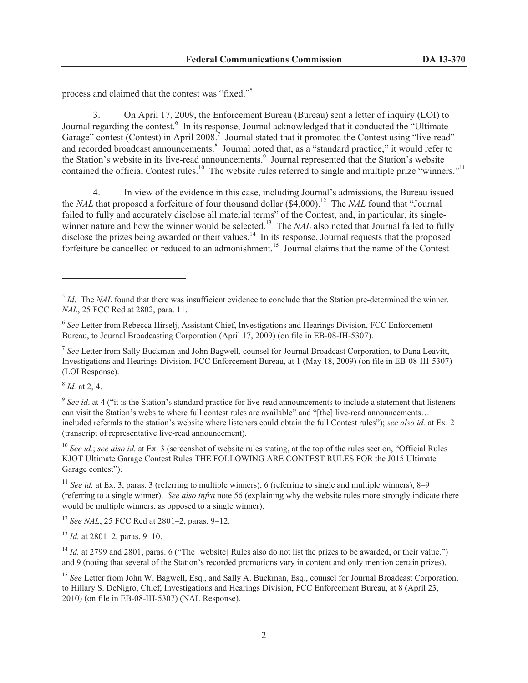process and claimed that the contest was "fixed."<sup>5</sup>

3. On April 17, 2009, the Enforcement Bureau (Bureau) sent a letter of inquiry (LOI) to Journal regarding the contest.<sup>6</sup> In its response, Journal acknowledged that it conducted the "Ultimate Garage" contest (Contest) in April 2008.<sup>7</sup> Journal stated that it promoted the Contest using "live-read" and recorded broadcast announcements.<sup>8</sup> Journal noted that, as a "standard practice," it would refer to the Station's website in its live-read announcements.<sup>9</sup> Journal represented that the Station's website contained the official Contest rules.<sup>10</sup> The website rules referred to single and multiple prize "winners."<sup>11</sup>

4. In view of the evidence in this case, including Journal's admissions, the Bureau issued the *NAL* that proposed a forfeiture of four thousand dollar (\$4,000).<sup>12</sup> The *NAL* found that "Journal" failed to fully and accurately disclose all material terms" of the Contest, and, in particular, its singlewinner nature and how the winner would be selected.<sup>13</sup> The *NAL* also noted that Journal failed to fully disclose the prizes being awarded or their values.<sup>14</sup> In its response, Journal requests that the proposed forfeiture be cancelled or reduced to an admonishment.<sup>15</sup> Journal claims that the name of the Contest

8 *Id.* at 2, 4.

<sup>10</sup> *See id.*; *see also id.* at Ex. 3 (screenshot of website rules stating, at the top of the rules section, "Official Rules" KJOT Ultimate Garage Contest Rules THE FOLLOWING ARE CONTEST RULES FOR the J015 Ultimate Garage contest").

<sup>11</sup> *See id.* at Ex. 3, paras. 3 (referring to multiple winners), 6 (referring to single and multiple winners), 8–9 (referring to a single winner). *See also infra* note 56 (explaining why the website rules more strongly indicate there would be multiple winners, as opposed to a single winner).

<sup>12</sup> *See NAL*, 25 FCC Rcd at 2801–2, paras. 9–12.

<sup>13</sup> *Id.* at 2801–2, paras. 9–10.

<sup>&</sup>lt;sup>5</sup> *Id*. The *NAL* found that there was insufficient evidence to conclude that the Station pre-determined the winner. *NAL*, 25 FCC Rcd at 2802, para. 11.

<sup>&</sup>lt;sup>6</sup> See Letter from Rebecca Hirselj, Assistant Chief, Investigations and Hearings Division, FCC Enforcement Bureau, to Journal Broadcasting Corporation (April 17, 2009) (on file in EB-08-IH-5307).

<sup>&</sup>lt;sup>7</sup> See Letter from Sally Buckman and John Bagwell, counsel for Journal Broadcast Corporation, to Dana Leavitt, Investigations and Hearings Division, FCC Enforcement Bureau, at 1 (May 18, 2009) (on file in EB-08-IH-5307) (LOI Response).

<sup>&</sup>lt;sup>9</sup> See id. at 4 ("it is the Station's standard practice for live-read announcements to include a statement that listeners can visit the Station's website where full contest rules are available" and "[the] live-read announcements… included referrals to the station's website where listeners could obtain the full Contest rules"); *see also id.* at Ex. 2 (transcript of representative live-read announcement).

<sup>&</sup>lt;sup>14</sup> *Id.* at 2799 and 2801, paras. 6 ("The [website] Rules also do not list the prizes to be awarded, or their value.") and 9 (noting that several of the Station's recorded promotions vary in content and only mention certain prizes).

<sup>&</sup>lt;sup>15</sup> See Letter from John W. Bagwell, Esq., and Sally A. Buckman, Esq., counsel for Journal Broadcast Corporation, to Hillary S. DeNigro, Chief, Investigations and Hearings Division, FCC Enforcement Bureau, at 8 (April 23, 2010) (on file in EB-08-IH-5307) (NAL Response).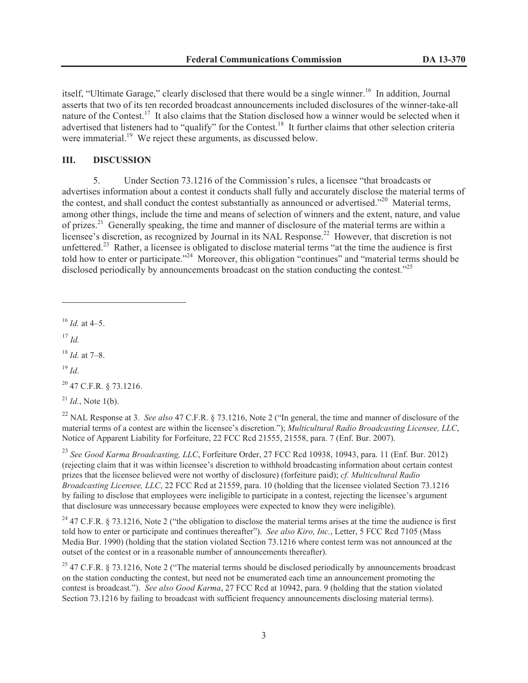itself, "Ultimate Garage," clearly disclosed that there would be a single winner.<sup>16</sup> In addition, Journal asserts that two of its ten recorded broadcast announcements included disclosures of the winner-take-all nature of the Contest.<sup>17</sup> It also claims that the Station disclosed how a winner would be selected when it advertised that listeners had to "qualify" for the Contest.<sup>18</sup> It further claims that other selection criteria were immaterial.<sup>19</sup> We reject these arguments, as discussed below.

### **III. DISCUSSION**

5. Under Section 73.1216 of the Commission's rules, a licensee "that broadcasts or advertises information about a contest it conducts shall fully and accurately disclose the material terms of the contest, and shall conduct the contest substantially as announced or advertised."<sup>20</sup> Material terms, among other things, include the time and means of selection of winners and the extent, nature, and value of prizes.<sup>21</sup> Generally speaking, the time and manner of disclosure of the material terms are within a licensee's discretion, as recognized by Journal in its NAL Response.<sup>22</sup> However, that discretion is not unfettered.<sup>23</sup> Rather, a licensee is obligated to disclose material terms "at the time the audience is first told how to enter or participate."<sup>24</sup> Moreover, this obligation "continues" and "material terms should be disclosed periodically by announcements broadcast on the station conducting the contest."<sup>25</sup>

 $^{16}$  *Id.* at 4–5.

<sup>17</sup> *Id.*

<sup>18</sup> *Id.* at 7–8.

<sup>19</sup> *Id*.

 $^{20}$  47 C.F.R. § 73.1216.

 $^{21}$  *Id.*, Note 1(b).

<sup>22</sup> NAL Response at 3. *See also* 47 C.F.R. § 73.1216, Note 2 ("In general, the time and manner of disclosure of the material terms of a contest are within the licensee's discretion."); *Multicultural Radio Broadcasting Licensee, LLC*, Notice of Apparent Liability for Forfeiture, 22 FCC Rcd 21555, 21558, para. 7 (Enf. Bur. 2007).

<sup>23</sup> *See Good Karma Broadcasting, LLC*, Forfeiture Order, 27 FCC Rcd 10938, 10943, para. 11 (Enf. Bur. 2012) (rejecting claim that it was within licensee's discretion to withhold broadcasting information about certain contest prizes that the licensee believed were not worthy of disclosure) (forfeiture paid); *cf. Multicultural Radio Broadcasting Licensee, LLC*, 22 FCC Rcd at 21559, para. 10 (holding that the licensee violated Section 73.1216 by failing to disclose that employees were ineligible to participate in a contest, rejecting the licensee's argument that disclosure was unnecessary because employees were expected to know they were ineligible).

<sup>24</sup> 47 C.F.R. § 73.1216, Note 2 ("the obligation to disclose the material terms arises at the time the audience is first told how to enter or participate and continues thereafter"). *See also Kiro, Inc.*, Letter, 5 FCC Rcd 7105 (Mass Media Bur. 1990) (holding that the station violated Section 73.1216 where contest term was not announced at the outset of the contest or in a reasonable number of announcements thereafter).

<sup>25</sup> 47 C.F.R. § 73.1216, Note 2 ("The material terms should be disclosed periodically by announcements broadcast on the station conducting the contest, but need not be enumerated each time an announcement promoting the contest is broadcast."). *See also Good Karma*, 27 FCC Rcd at 10942, para. 9 (holding that the station violated Section 73.1216 by failing to broadcast with sufficient frequency announcements disclosing material terms).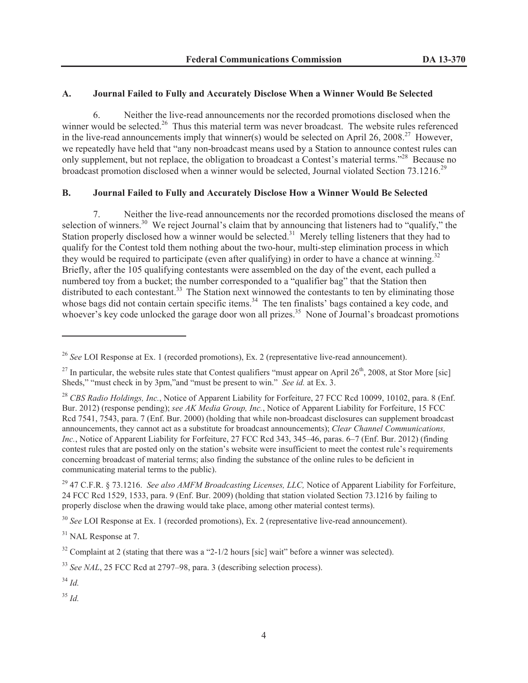### **A. Journal Failed to Fully and Accurately Disclose When a Winner Would Be Selected**

6. Neither the live-read announcements nor the recorded promotions disclosed when the winner would be selected.<sup>26</sup> Thus this material term was never broadcast. The website rules referenced in the live-read announcements imply that winner(s) would be selected on April 26, 2008.<sup>27</sup> However, we repeatedly have held that "any non-broadcast means used by a Station to announce contest rules can only supplement, but not replace, the obligation to broadcast a Contest's material terms."<sup>28</sup> Because no broadcast promotion disclosed when a winner would be selected, Journal violated Section 73.1216.<sup>29</sup>

#### **B. Journal Failed to Fully and Accurately Disclose How a Winner Would Be Selected**

7. Neither the live-read announcements nor the recorded promotions disclosed the means of selection of winners.<sup>30</sup> We reject Journal's claim that by announcing that listeners had to "qualify," the Station properly disclosed how a winner would be selected.<sup>31</sup> Merely telling listeners that they had to qualify for the Contest told them nothing about the two-hour, multi-step elimination process in which they would be required to participate (even after qualifying) in order to have a chance at winning.<sup>32</sup> Briefly, after the 105 qualifying contestants were assembled on the day of the event, each pulled a numbered toy from a bucket; the number corresponded to a "qualifier bag" that the Station then distributed to each contestant.<sup>33</sup> The Station next winnowed the contestants to ten by eliminating those whose bags did not contain certain specific items.<sup>34</sup> The ten finalists' bags contained a key code, and whoever's key code unlocked the garage door won all prizes.<sup>35</sup> None of Journal's broadcast promotions

<sup>26</sup> *See* LOI Response at Ex. 1 (recorded promotions), Ex. 2 (representative live-read announcement).

<sup>&</sup>lt;sup>27</sup> In particular, the website rules state that Contest qualifiers "must appear on April  $26<sup>th</sup>$ , 2008, at Stor More [sic] Sheds," "must check in by 3pm,"and "must be present to win." *See id.* at Ex. 3.

<sup>28</sup> *CBS Radio Holdings, Inc.*, Notice of Apparent Liability for Forfeiture, 27 FCC Rcd 10099, 10102, para. 8 (Enf. Bur. 2012) (response pending); *see AK Media Group, Inc.*, Notice of Apparent Liability for Forfeiture, 15 FCC Rcd 7541, 7543, para. 7 (Enf. Bur. 2000) (holding that while non-broadcast disclosures can supplement broadcast announcements, they cannot act as a substitute for broadcast announcements); *Clear Channel Communications, Inc.*, Notice of Apparent Liability for Forfeiture, 27 FCC Rcd 343, 345–46, paras. 6–7 (Enf. Bur. 2012) (finding contest rules that are posted only on the station's website were insufficient to meet the contest rule's requirements concerning broadcast of material terms; also finding the substance of the online rules to be deficient in communicating material terms to the public).

<sup>29</sup> 47 C.F.R. § 73.1216. *See also AMFM Broadcasting Licenses, LLC,* Notice of Apparent Liability for Forfeiture, 24 FCC Rcd 1529, 1533, para. 9 (Enf. Bur. 2009) (holding that station violated Section 73.1216 by failing to properly disclose when the drawing would take place, among other material contest terms).

<sup>30</sup> *See* LOI Response at Ex. 1 (recorded promotions), Ex. 2 (representative live-read announcement).

<sup>&</sup>lt;sup>31</sup> NAL Response at 7.

 $32$  Complaint at 2 (stating that there was a "2-1/2 hours [sic] wait" before a winner was selected).

<sup>&</sup>lt;sup>33</sup> *See NAL*, 25 FCC Rcd at 2797–98, para. 3 (describing selection process).

<sup>34</sup> *Id.*

<sup>35</sup> *Id.*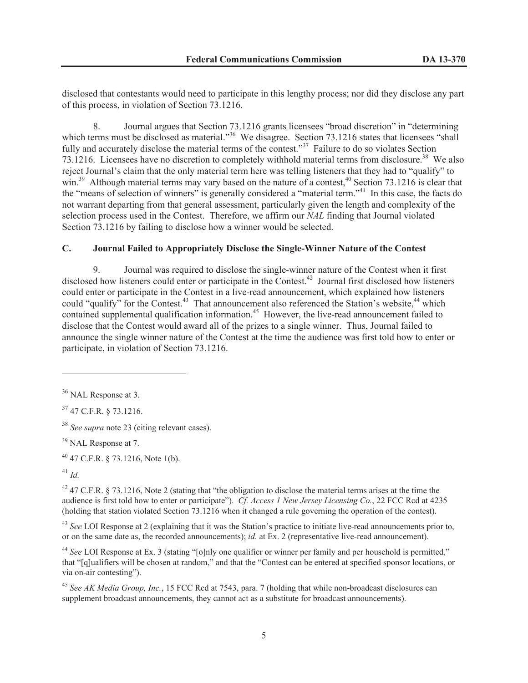disclosed that contestants would need to participate in this lengthy process; nor did they disclose any part of this process, in violation of Section 73.1216.

8. Journal argues that Section 73.1216 grants licensees "broad discretion" in "determining which terms must be disclosed as material."<sup>36</sup> We disagree. Section 73.1216 states that licensees "shall" fully and accurately disclose the material terms of the contest."<sup>37</sup> Failure to do so violates Section 73.1216. Licensees have no discretion to completely withhold material terms from disclosure.<sup>38</sup> We also reject Journal's claim that the only material term here was telling listeners that they had to "qualify" to win.<sup>39</sup> Although material terms may vary based on the nature of a contest,<sup>40</sup> Section 73.1216 is clear that the "means of selection of winners" is generally considered a "material term."<sup>41</sup> In this case, the facts do not warrant departing from that general assessment, particularly given the length and complexity of the selection process used in the Contest. Therefore, we affirm our *NAL* finding that Journal violated Section 73.1216 by failing to disclose how a winner would be selected.

## **C. Journal Failed to Appropriately Disclose the Single-Winner Nature of the Contest**

9. Journal was required to disclose the single-winner nature of the Contest when it first disclosed how listeners could enter or participate in the Contest.<sup>42</sup> Journal first disclosed how listeners could enter or participate in the Contest in a live-read announcement, which explained how listeners could "qualify" for the Contest.<sup>43</sup> That announcement also referenced the Station's website,<sup>44</sup> which contained supplemental qualification information.<sup>45</sup> However, the live-read announcement failed to disclose that the Contest would award all of the prizes to a single winner. Thus, Journal failed to announce the single winner nature of the Contest at the time the audience was first told how to enter or participate, in violation of Section 73.1216.

<sup>36</sup> NAL Response at 3.

<sup>37</sup> 47 C.F.R. § 73.1216.

<sup>38</sup> *See supra* note 23 (citing relevant cases).

<sup>&</sup>lt;sup>39</sup> NAL Response at 7.

 $40$  47 C.F.R. § 73.1216, Note 1(b).

<sup>41</sup> *Id.*

 $42$  47 C.F.R. § 73.1216, Note 2 (stating that "the obligation to disclose the material terms arises at the time the audience is first told how to enter or participate"). *Cf. Access 1 New Jersey Licensing Co.*, 22 FCC Rcd at 4235 (holding that station violated Section 73.1216 when it changed a rule governing the operation of the contest).

<sup>43</sup> *See* LOI Response at 2 (explaining that it was the Station's practice to initiate live-read announcements prior to, or on the same date as, the recorded announcements); *id.* at Ex. 2 (representative live-read announcement).

<sup>44</sup> *See* LOI Response at Ex. 3 (stating "[o]nly one qualifier or winner per family and per household is permitted," that "[q]ualifiers will be chosen at random," and that the "Contest can be entered at specified sponsor locations, or via on-air contesting").

<sup>45</sup> *See AK Media Group, Inc.*, 15 FCC Rcd at 7543, para. 7 (holding that while non-broadcast disclosures can supplement broadcast announcements, they cannot act as a substitute for broadcast announcements).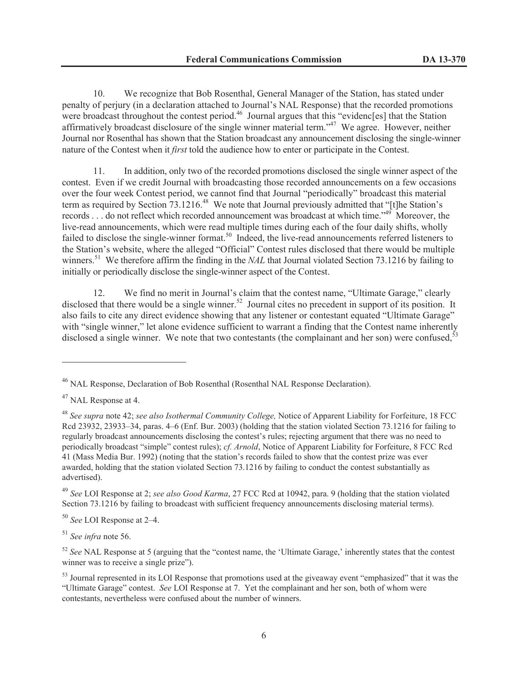10. We recognize that Bob Rosenthal, General Manager of the Station, has stated under penalty of perjury (in a declaration attached to Journal's NAL Response) that the recorded promotions were broadcast throughout the contest period.<sup>46</sup> Journal argues that this "evidenc[es] that the Station affirmatively broadcast disclosure of the single winner material term."<sup>47</sup> We agree. However, neither Journal nor Rosenthal has shown that the Station broadcast any announcement disclosing the single-winner nature of the Contest when it *first* told the audience how to enter or participate in the Contest.

11. In addition, only two of the recorded promotions disclosed the single winner aspect of the contest. Even if we credit Journal with broadcasting those recorded announcements on a few occasions over the four week Contest period, we cannot find that Journal "periodically" broadcast this material term as required by Section 73.1216.<sup>48</sup> We note that Journal previously admitted that "[t]he Station's records . . . do not reflect which recorded announcement was broadcast at which time."<sup>49</sup> Moreover, the live-read announcements, which were read multiple times during each of the four daily shifts, wholly failed to disclose the single-winner format.<sup>50</sup> Indeed, the live-read announcements referred listeners to the Station's website, where the alleged "Official" Contest rules disclosed that there would be multiple winners.<sup>51</sup> We therefore affirm the finding in the *NAL* that Journal violated Section 73.1216 by failing to initially or periodically disclose the single-winner aspect of the Contest.

12. We find no merit in Journal's claim that the contest name, "Ultimate Garage," clearly disclosed that there would be a single winner.<sup>52</sup> Journal cites no precedent in support of its position. It also fails to cite any direct evidence showing that any listener or contestant equated "Ultimate Garage" with "single winner," let alone evidence sufficient to warrant a finding that the Contest name inherently disclosed a single winner. We note that two contestants (the complainant and her son) were confused.<sup>5</sup>

<sup>49</sup> *See* LOI Response at 2; *see also Good Karma*, 27 FCC Rcd at 10942, para. 9 (holding that the station violated Section 73.1216 by failing to broadcast with sufficient frequency announcements disclosing material terms).

<sup>50</sup> *See* LOI Response at 2–4.

<sup>51</sup> *See infra* note 56.

<sup>&</sup>lt;sup>46</sup> NAL Response, Declaration of Bob Rosenthal (Rosenthal NAL Response Declaration).

<sup>&</sup>lt;sup>47</sup> NAL Response at 4.

<sup>48</sup> *See supra* note 42; *see also Isothermal Community College,* Notice of Apparent Liability for Forfeiture, 18 FCC Rcd 23932, 23933–34, paras. 4–6 (Enf. Bur. 2003) (holding that the station violated Section 73.1216 for failing to regularly broadcast announcements disclosing the contest's rules; rejecting argument that there was no need to periodically broadcast "simple" contest rules); *cf. Arnold*, Notice of Apparent Liability for Forfeiture, 8 FCC Rcd 41 (Mass Media Bur. 1992) (noting that the station's records failed to show that the contest prize was ever awarded, holding that the station violated Section 73.1216 by failing to conduct the contest substantially as advertised).

<sup>52</sup> *See* NAL Response at 5 (arguing that the "contest name, the 'Ultimate Garage,' inherently states that the contest winner was to receive a single prize").

<sup>&</sup>lt;sup>53</sup> Journal represented in its LOI Response that promotions used at the giveaway event "emphasized" that it was the "Ultimate Garage" contest. *See* LOI Response at 7. Yet the complainant and her son, both of whom were contestants, nevertheless were confused about the number of winners.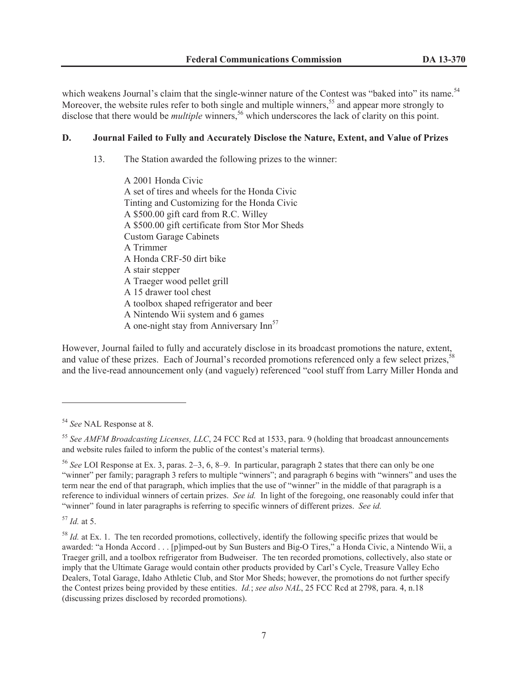which weakens Journal's claim that the single-winner nature of the Contest was "baked into" its name.<sup>54</sup> Moreover, the website rules refer to both single and multiple winners,  $55$  and appear more strongly to disclose that there would be *multiple* winners,<sup>56</sup> which underscores the lack of clarity on this point.

### **D. Journal Failed to Fully and Accurately Disclose the Nature, Extent, and Value of Prizes**

13. The Station awarded the following prizes to the winner:

A 2001 Honda Civic A set of tires and wheels for the Honda Civic Tinting and Customizing for the Honda Civic A \$500.00 gift card from R.C. Willey A \$500.00 gift certificate from Stor Mor Sheds Custom Garage Cabinets A Trimmer A Honda CRF-50 dirt bike A stair stepper A Traeger wood pellet grill A 15 drawer tool chest A toolbox shaped refrigerator and beer A Nintendo Wii system and 6 games A one-night stay from Anniversary  $\text{Inn}^{57}$ 

However, Journal failed to fully and accurately disclose in its broadcast promotions the nature, extent, and value of these prizes. Each of Journal's recorded promotions referenced only a few select prizes,<sup>58</sup> and the live-read announcement only (and vaguely) referenced "cool stuff from Larry Miller Honda and

<sup>57</sup> *Id.* at 5.

<sup>54</sup> *See* NAL Response at 8.

<sup>55</sup> *See AMFM Broadcasting Licenses, LLC*, 24 FCC Rcd at 1533, para. 9 (holding that broadcast announcements and website rules failed to inform the public of the contest's material terms).

<sup>56</sup> *See* LOI Response at Ex. 3, paras. 2–3, 6, 8–9. In particular, paragraph 2 states that there can only be one "winner" per family; paragraph 3 refers to multiple "winners"; and paragraph 6 begins with "winners" and uses the term near the end of that paragraph, which implies that the use of "winner" in the middle of that paragraph is a reference to individual winners of certain prizes. *See id.* In light of the foregoing, one reasonably could infer that "winner" found in later paragraphs is referring to specific winners of different prizes. *See id.*

<sup>&</sup>lt;sup>58</sup> *Id.* at Ex. 1. The ten recorded promotions, collectively, identify the following specific prizes that would be awarded: "a Honda Accord . . . [p]imped-out by Sun Busters and Big-O Tires," a Honda Civic, a Nintendo Wii, a Traeger grill, and a toolbox refrigerator from Budweiser. The ten recorded promotions, collectively, also state or imply that the Ultimate Garage would contain other products provided by Carl's Cycle, Treasure Valley Echo Dealers, Total Garage, Idaho Athletic Club, and Stor Mor Sheds; however, the promotions do not further specify the Contest prizes being provided by these entities. *Id.*; *see also NAL*, 25 FCC Rcd at 2798, para. 4, n.18 (discussing prizes disclosed by recorded promotions).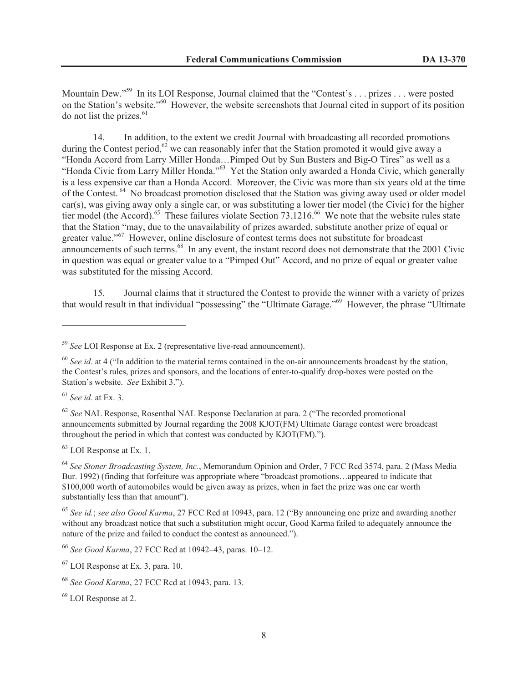Mountain Dew."<sup>59</sup> In its LOI Response, Journal claimed that the "Contest's . . . prizes . . . were posted on the Station's website."<sup>60</sup> However, the website screenshots that Journal cited in support of its position do not list the prizes. $61$ 

14. In addition, to the extent we credit Journal with broadcasting all recorded promotions during the Contest period,<sup>62</sup> we can reasonably infer that the Station promoted it would give away a "Honda Accord from Larry Miller Honda…Pimped Out by Sun Busters and Big-O Tires" as well as a "Honda Civic from Larry Miller Honda."<sup>63</sup> Yet the Station only awarded a Honda Civic, which generally is a less expensive car than a Honda Accord. Moreover, the Civic was more than six years old at the time of the Contest.<sup>64</sup> No broadcast promotion disclosed that the Station was giving away used or older model car(s), was giving away only a single car, or was substituting a lower tier model (the Civic) for the higher tier model (the Accord).<sup>65</sup> These failures violate Section 73.1216.<sup>66</sup> We note that the website rules state that the Station "may, due to the unavailability of prizes awarded, substitute another prize of equal or greater value."<sup>67</sup> However, online disclosure of contest terms does not substitute for broadcast announcements of such terms.<sup>68</sup> In any event, the instant record does not demonstrate that the 2001 Civic in question was equal or greater value to a "Pimped Out" Accord, and no prize of equal or greater value was substituted for the missing Accord.

15. Journal claims that it structured the Contest to provide the winner with a variety of prizes that would result in that individual "possessing" the "Ultimate Garage."<sup>69</sup> However, the phrase "Ultimate

<sup>61</sup> *See id.* at Ex. 3.

<sup>62</sup> *See* NAL Response, Rosenthal NAL Response Declaration at para. 2 ("The recorded promotional announcements submitted by Journal regarding the 2008 KJOT(FM) Ultimate Garage contest were broadcast throughout the period in which that contest was conducted by KJOT(FM).").

 $63$  LOI Response at Ex. 1.

<sup>59</sup> *See* LOI Response at Ex. 2 (representative live-read announcement).

<sup>&</sup>lt;sup>60</sup> See id. at 4 ("In addition to the material terms contained in the on-air announcements broadcast by the station, the Contest's rules, prizes and sponsors, and the locations of enter-to-qualify drop-boxes were posted on the Station's website. *See* Exhibit 3.").

<sup>64</sup> *See Stoner Broadcasting System, Inc.*, Memorandum Opinion and Order, 7 FCC Rcd 3574, para. 2 (Mass Media Bur. 1992) (finding that forfeiture was appropriate where "broadcast promotions…appeared to indicate that \$100,000 worth of automobiles would be given away as prizes, when in fact the prize was one car worth substantially less than that amount").

<sup>65</sup> *See id.*; *see also Good Karma*, 27 FCC Rcd at 10943, para. 12 ("By announcing one prize and awarding another without any broadcast notice that such a substitution might occur, Good Karma failed to adequately announce the nature of the prize and failed to conduct the contest as announced.").

<sup>66</sup> *See Good Karma*, 27 FCC Rcd at 10942–43, paras. 10–12.

 $67$  LOI Response at Ex. 3, para. 10.

<sup>68</sup> *See Good Karma*, 27 FCC Rcd at 10943, para. 13.

<sup>69</sup> LOI Response at 2.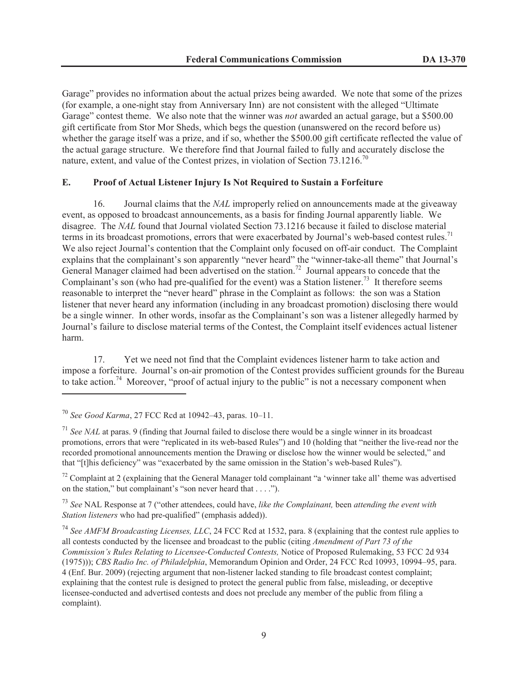Garage" provides no information about the actual prizes being awarded. We note that some of the prizes (for example, a one-night stay from Anniversary Inn) are not consistent with the alleged "Ultimate Garage" contest theme. We also note that the winner was *not* awarded an actual garage, but a \$500.00 gift certificate from Stor Mor Sheds, which begs the question (unanswered on the record before us) whether the garage itself was a prize, and if so, whether the \$500.00 gift certificate reflected the value of the actual garage structure. We therefore find that Journal failed to fully and accurately disclose the nature, extent, and value of the Contest prizes, in violation of Section  $73.1216$ <sup>70</sup>

### **E. Proof of Actual Listener Injury Is Not Required to Sustain a Forfeiture**

16. Journal claims that the *NAL* improperly relied on announcements made at the giveaway event, as opposed to broadcast announcements, as a basis for finding Journal apparently liable. We disagree. The *NAL* found that Journal violated Section 73.1216 because it failed to disclose material terms in its broadcast promotions, errors that were exacerbated by Journal's web-based contest rules.<sup>71</sup> We also reject Journal's contention that the Complaint only focused on off-air conduct. The Complaint explains that the complainant's son apparently "never heard" the "winner-take-all theme" that Journal's General Manager claimed had been advertised on the station.<sup>72</sup> Journal appears to concede that the Complainant's son (who had pre-qualified for the event) was a Station listener.<sup>73</sup> It therefore seems reasonable to interpret the "never heard" phrase in the Complaint as follows: the son was a Station listener that never heard any information (including in any broadcast promotion) disclosing there would be a single winner. In other words, insofar as the Complainant's son was a listener allegedly harmed by Journal's failure to disclose material terms of the Contest, the Complaint itself evidences actual listener harm.

17. Yet we need not find that the Complaint evidences listener harm to take action and impose a forfeiture. Journal's on-air promotion of the Contest provides sufficient grounds for the Bureau to take action.<sup>74</sup> Moreover, "proof of actual injury to the public" is not a necessary component when

 $72$  Complaint at 2 (explaining that the General Manager told complainant "a 'winner take all' theme was advertised on the station," but complainant's "son never heard that . . . .").

<sup>73</sup> *See* NAL Response at 7 ("other attendees, could have, *like the Complainant,* been *attending the event with Station listeners* who had pre-qualified" (emphasis added)).

<sup>74</sup> *See AMFM Broadcasting Licenses, LLC*, 24 FCC Rcd at 1532, para. 8 (explaining that the contest rule applies to all contests conducted by the licensee and broadcast to the public (citing *Amendment of Part 73 of the Commission's Rules Relating to Licensee-Conducted Contests,* Notice of Proposed Rulemaking, 53 FCC 2d 934 (1975))); *CBS Radio Inc. of Philadelphia*, Memorandum Opinion and Order, 24 FCC Rcd 10993, 10994–95, para. 4 (Enf. Bur. 2009) (rejecting argument that non-listener lacked standing to file broadcast contest complaint; explaining that the contest rule is designed to protect the general public from false, misleading, or deceptive licensee-conducted and advertised contests and does not preclude any member of the public from filing a complaint).

<sup>70</sup> *See Good Karma*, 27 FCC Rcd at 10942–43, paras. 10–11.

<sup>71</sup> *See NAL* at paras. 9 (finding that Journal failed to disclose there would be a single winner in its broadcast promotions, errors that were "replicated in its web-based Rules") and 10 (holding that "neither the live-read nor the recorded promotional announcements mention the Drawing or disclose how the winner would be selected," and that "[t]his deficiency" was "exacerbated by the same omission in the Station's web-based Rules").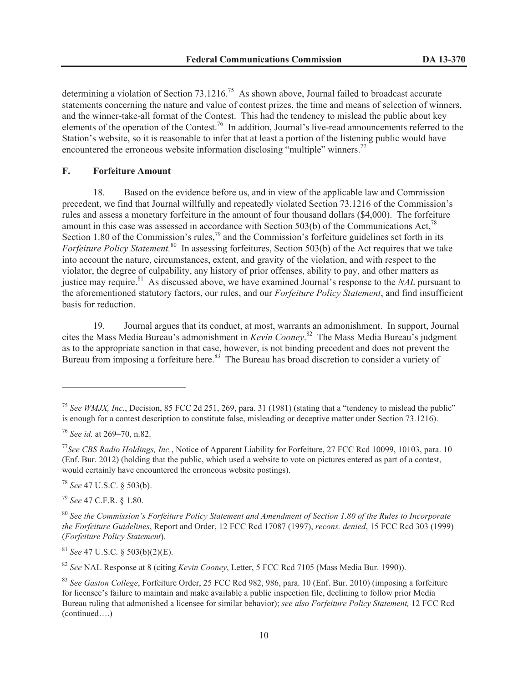determining a violation of Section 73.1216.<sup>75</sup> As shown above, Journal failed to broadcast accurate statements concerning the nature and value of contest prizes, the time and means of selection of winners, and the winner-take-all format of the Contest. This had the tendency to mislead the public about key elements of the operation of the Contest.<sup>76</sup> In addition, Journal's live-read announcements referred to the Station's website, so it is reasonable to infer that at least a portion of the listening public would have encountered the erroneous website information disclosing "multiple" winners.<sup>77</sup>

### **F. Forfeiture Amount**

18. Based on the evidence before us, and in view of the applicable law and Commission precedent, we find that Journal willfully and repeatedly violated Section 73.1216 of the Commission's rules and assess a monetary forfeiture in the amount of four thousand dollars (\$4,000). The forfeiture amount in this case was assessed in accordance with Section 503(b) of the Communications Act, $^{78}$ Section 1.80 of the Commission's rules,<sup>79</sup> and the Commission's forfeiture guidelines set forth in its *Forfeiture Policy Statement.*<sup>80</sup> In assessing forfeitures, Section 503(b) of the Act requires that we take into account the nature, circumstances, extent, and gravity of the violation, and with respect to the violator, the degree of culpability, any history of prior offenses, ability to pay, and other matters as justice may require.<sup>81</sup> As discussed above, we have examined Journal's response to the *NAL* pursuant to the aforementioned statutory factors, our rules, and our *Forfeiture Policy Statement*, and find insufficient basis for reduction.

19. Journal argues that its conduct, at most, warrants an admonishment. In support, Journal cites the Mass Media Bureau's admonishment in *Kevin Cooney*. <sup>82</sup> The Mass Media Bureau's judgment as to the appropriate sanction in that case, however, is not binding precedent and does not prevent the Bureau from imposing a forfeiture here.<sup>83</sup> The Bureau has broad discretion to consider a variety of

<sup>78</sup> *See* 47 U.S.C. § 503(b).

<sup>79</sup> *See* 47 C.F.R. § 1.80.

<sup>81</sup> *See* 47 U.S.C. § 503(b)(2)(E).

<sup>82</sup> *See* NAL Response at 8 (citing *Kevin Cooney*, Letter, 5 FCC Rcd 7105 (Mass Media Bur. 1990)).

<sup>&</sup>lt;sup>75</sup> See WMJX, Inc., Decision, 85 FCC 2d 251, 269, para. 31 (1981) (stating that a "tendency to mislead the public" is enough for a contest description to constitute false, misleading or deceptive matter under Section 73.1216).

<sup>76</sup> *See id.* at 269–70, n.82.

<sup>77</sup>*See CBS Radio Holdings, Inc.*, Notice of Apparent Liability for Forfeiture, 27 FCC Rcd 10099, 10103, para. 10 (Enf. Bur. 2012) (holding that the public, which used a website to vote on pictures entered as part of a contest, would certainly have encountered the erroneous website postings).

<sup>80</sup> *See the Commission's Forfeiture Policy Statement and Amendment of Section 1.80 of the Rules to Incorporate the Forfeiture Guidelines*, Report and Order, 12 FCC Rcd 17087 (1997), *recons. denied*, 15 FCC Rcd 303 (1999) (*Forfeiture Policy Statement*).

<sup>83</sup> *See Gaston College*, Forfeiture Order, 25 FCC Rcd 982, 986, para. 10 (Enf. Bur. 2010) (imposing a forfeiture for licensee's failure to maintain and make available a public inspection file, declining to follow prior Media Bureau ruling that admonished a licensee for similar behavior); *see also Forfeiture Policy Statement,* 12 FCC Rcd (continued….)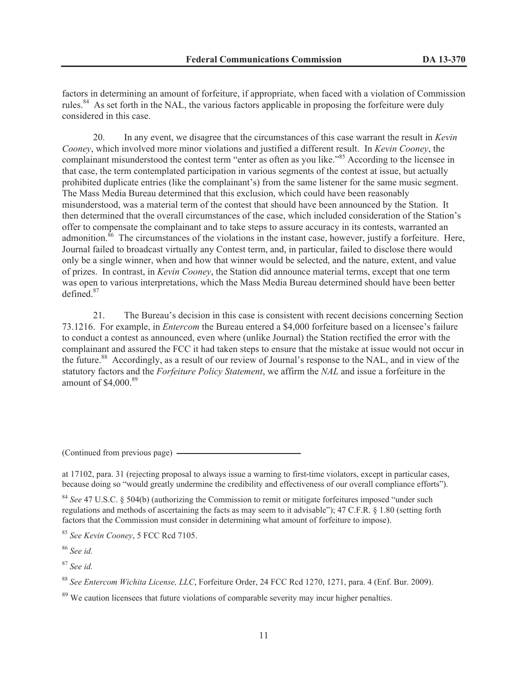factors in determining an amount of forfeiture, if appropriate, when faced with a violation of Commission rules.<sup>84</sup> As set forth in the NAL, the various factors applicable in proposing the forfeiture were duly considered in this case.

20. In any event, we disagree that the circumstances of this case warrant the result in *Kevin Cooney*, which involved more minor violations and justified a different result. In *Kevin Cooney*, the complainant misunderstood the contest term "enter as often as you like."<sup>85</sup> According to the licensee in that case, the term contemplated participation in various segments of the contest at issue, but actually prohibited duplicate entries (like the complainant's) from the same listener for the same music segment. The Mass Media Bureau determined that this exclusion, which could have been reasonably misunderstood, was a material term of the contest that should have been announced by the Station. It then determined that the overall circumstances of the case, which included consideration of the Station's offer to compensate the complainant and to take steps to assure accuracy in its contests, warranted an admonition.<sup>86</sup> The circumstances of the violations in the instant case, however, justify a forfeiture. Here, Journal failed to broadcast virtually any Contest term, and, in particular, failed to disclose there would only be a single winner, when and how that winner would be selected, and the nature, extent, and value of prizes. In contrast, in *Kevin Cooney*, the Station did announce material terms, except that one term was open to various interpretations, which the Mass Media Bureau determined should have been better defined.<sup>87</sup>

21. The Bureau's decision in this case is consistent with recent decisions concerning Section 73.1216. For example, in *Entercom* the Bureau entered a \$4,000 forfeiture based on a licensee's failure to conduct a contest as announced, even where (unlike Journal) the Station rectified the error with the complainant and assured the FCC it had taken steps to ensure that the mistake at issue would not occur in the future.<sup>88</sup> Accordingly, as a result of our review of Journal's response to the NAL, and in view of the statutory factors and the *Forfeiture Policy Statement*, we affirm the *NAL* and issue a forfeiture in the amount of  $$4,000$ .<sup>89</sup>

(Continued from previous page)

at 17102, para. 31 (rejecting proposal to always issue a warning to first-time violators, except in particular cases, because doing so "would greatly undermine the credibility and effectiveness of our overall compliance efforts").

<sup>84</sup> *See* 47 U.S.C. § 504(b) (authorizing the Commission to remit or mitigate forfeitures imposed "under such regulations and methods of ascertaining the facts as may seem to it advisable"); 47 C.F.R. § 1.80 (setting forth factors that the Commission must consider in determining what amount of forfeiture to impose).

<sup>85</sup> *See Kevin Cooney*, 5 FCC Rcd 7105.

<sup>86</sup> *See id.*

<sup>87</sup> *See id.*

<sup>88</sup> *See Entercom Wichita License, LLC*, Forfeiture Order, 24 FCC Rcd 1270, 1271, para. 4 (Enf. Bur. 2009).

 $89$  We caution licensees that future violations of comparable severity may incur higher penalties.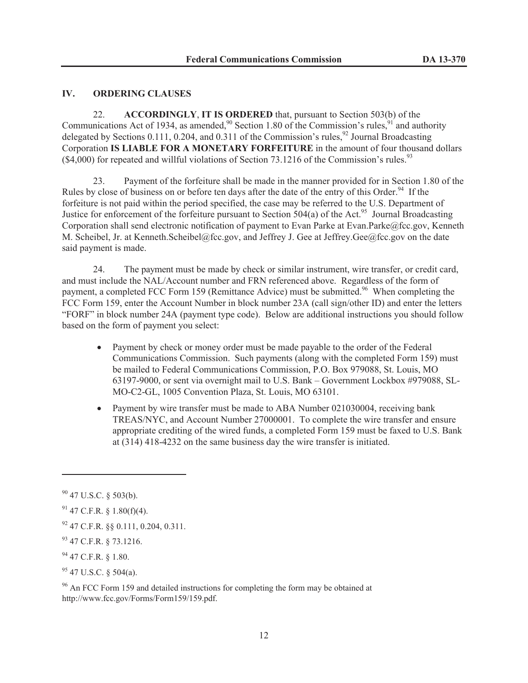### **IV. ORDERING CLAUSES**

22. **ACCORDINGLY**, **IT IS ORDERED** that, pursuant to Section 503(b) of the Communications Act of 1934, as amended,<sup>90</sup> Section 1.80 of the Commission's rules,<sup>91</sup> and authority delegated by Sections 0.111, 0.204, and 0.311 of the Commission's rules,<sup>92</sup> Journal Broadcasting Corporation **IS LIABLE FOR A MONETARY FORFEITURE** in the amount of four thousand dollars  $(\$4,000)$  for repeated and willful violations of Section 73.1216 of the Commission's rules.<sup>93</sup>

23. Payment of the forfeiture shall be made in the manner provided for in Section 1.80 of the Rules by close of business on or before ten days after the date of the entry of this Order.<sup>94</sup> If the forfeiture is not paid within the period specified, the case may be referred to the U.S. Department of Justice for enforcement of the forfeiture pursuant to Section 504(a) of the Act.<sup>95</sup> Journal Broadcasting Corporation shall send electronic notification of payment to Evan Parke at Evan.Parke@fcc.gov, Kenneth M. Scheibel, Jr. at Kenneth.Scheibel@fcc.gov, and Jeffrey J. Gee at Jeffrey.Gee@fcc.gov on the date said payment is made.

24. The payment must be made by check or similar instrument, wire transfer, or credit card, and must include the NAL/Account number and FRN referenced above. Regardless of the form of payment, a completed FCC Form 159 (Remittance Advice) must be submitted.<sup>96</sup> When completing the FCC Form 159, enter the Account Number in block number 23A (call sign/other ID) and enter the letters "FORF" in block number 24A (payment type code). Below are additional instructions you should follow based on the form of payment you select:

- · Payment by check or money order must be made payable to the order of the Federal Communications Commission. Such payments (along with the completed Form 159) must be mailed to Federal Communications Commission, P.O. Box 979088, St. Louis, MO 63197-9000, or sent via overnight mail to U.S. Bank – Government Lockbox #979088, SL-MO-C2-GL, 1005 Convention Plaza, St. Louis, MO 63101.
- Payment by wire transfer must be made to ABA Number 021030004, receiving bank TREAS/NYC, and Account Number 27000001. To complete the wire transfer and ensure appropriate crediting of the wired funds, a completed Form 159 must be faxed to U.S. Bank at (314) 418-4232 on the same business day the wire transfer is initiated.

<sup>96</sup> An FCC Form 159 and detailed instructions for completing the form may be obtained at http://www.fcc.gov/Forms/Form159/159.pdf.

<sup>90</sup> 47 U.S.C. § 503(b).

 $91$  47 C.F.R. § 1.80(f)(4).

<sup>92</sup> 47 C.F.R. §§ 0.111, 0.204, 0.311.

<sup>93</sup> 47 C.F.R. § 73.1216.

<sup>94</sup> 47 C.F.R. § 1.80.

 $95$  47 U.S.C. § 504(a).